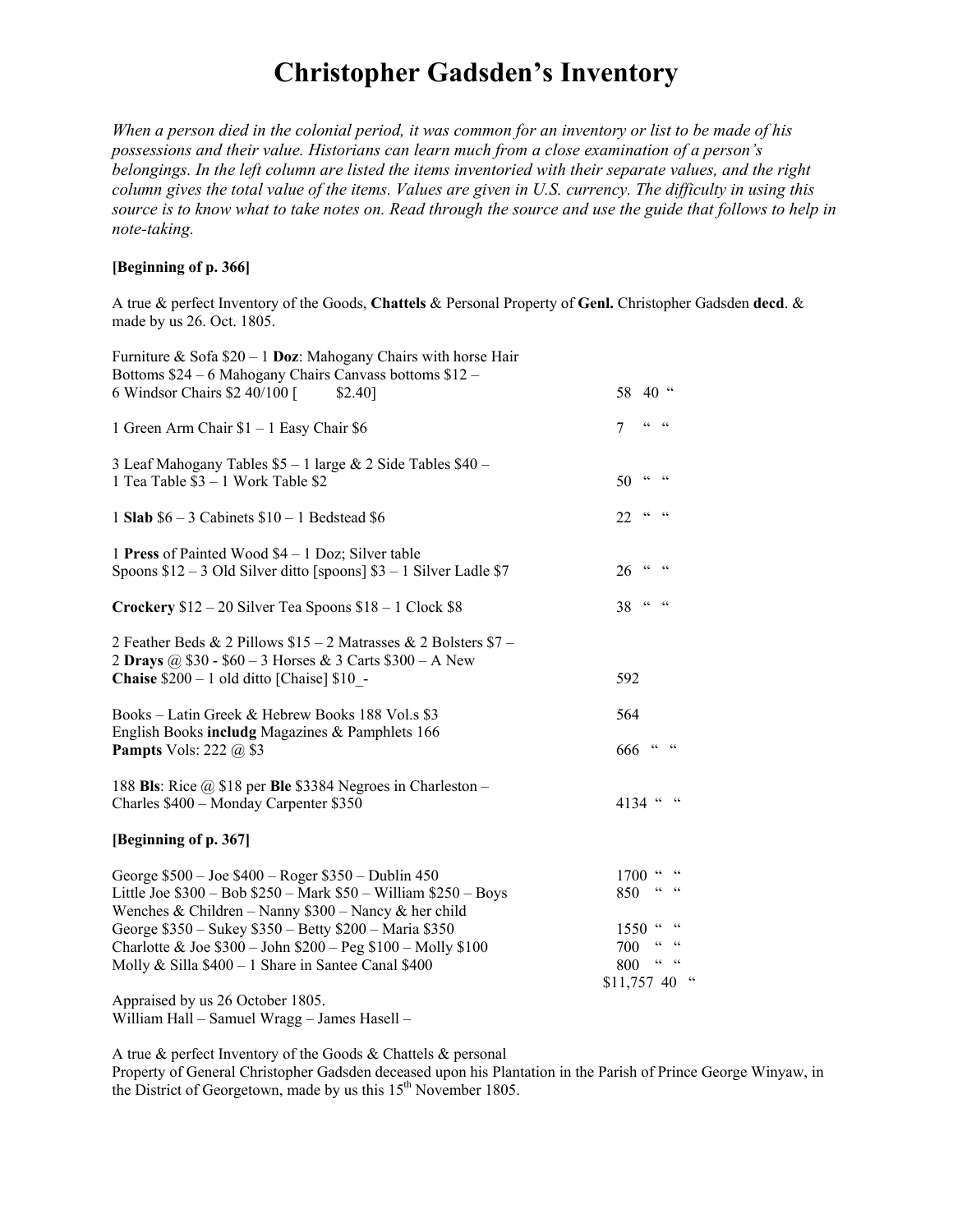## **Christopher Gadsden's Inventory**

*When a person died in the colonial period, it was common for an inventory or list to be made of his possessions and their value. Historians can learn much from a close examination of a person's belongings. In the left column are listed the items inventoried with their separate values, and the right column gives the total value of the items. Values are given in U.S. currency. The difficulty in using this source is to know what to take notes on. Read through the source and use the guide that follows to help in note-taking.* 

## **[Beginning of p. 366]**

A true & perfect Inventory of the Goods, **Chattels** & Personal Property of **Genl.** Christopher Gadsden **decd**. & made by us 26. Oct. 1805.

| Furniture & Sofa $$20 - 1$ Doz: Mahogany Chairs with horse Hair<br>Bottoms \$24 – 6 Mahogany Chairs Canvass bottoms \$12 –                                                          |                                                                                               |
|-------------------------------------------------------------------------------------------------------------------------------------------------------------------------------------|-----------------------------------------------------------------------------------------------|
| 6 Windsor Chairs \$2 40/100 [<br>\$2.40]                                                                                                                                            | 58 40 "                                                                                       |
| 1 Green Arm Chair \$1 - 1 Easy Chair \$6                                                                                                                                            | $\begin{array}{ccc} {\mathcal C} {\mathcal C} & & {\mathcal C} {\mathcal C} \end{array}$<br>7 |
| 3 Leaf Mahogany Tables \$5 - 1 large & 2 Side Tables \$40 -<br>1 Tea Table \$3 - 1 Work Table \$2                                                                                   | 50<br>$CC$ $CC$                                                                               |
| 1 Slab $$6 - 3$ Cabinets $$10 - 1$ Bedstead \$6                                                                                                                                     | $CC = CC$<br>22                                                                               |
| 1 Press of Painted Wood \$4 – 1 Doz; Silver table<br>Spoons $$12 - 3$ Old Silver ditto [spoons] $$3 - 1$ Silver Ladle \$7                                                           | $CC$ $CC$<br>26                                                                               |
| Crockery $$12 - 20$ Silver Tea Spoons $$18 - 1$ Clock $$8$                                                                                                                          | $38$ ""                                                                                       |
| 2 Feather Beds & 2 Pillows \$15 - 2 Matrasses & 2 Bolsters \$7 -<br>2 Drays @ \$30 - \$60 - 3 Horses & 3 Carts \$300 - A New<br><b>Chaise</b> $$200 - 1$ old ditto [Chaise] $$10$ - | 592                                                                                           |
| Books – Latin Greek & Hebrew Books 188 Vol.s \$3<br>English Books includg Magazines & Pamphlets 166<br><b>Pampts</b> Vols: 222 $\omega$ \$3                                         | 564<br>$666$ " "                                                                              |
| 188 Bls: Rice $\omega$ \$18 per Ble \$3384 Negroes in Charleston –<br>Charles \$400 - Monday Carpenter \$350                                                                        | 4134 " "                                                                                      |
| [Beginning of p. 367]                                                                                                                                                               |                                                                                               |
| George \$500 - Joe \$400 - Roger \$350 - Dublin 450<br>Little Joe $$300 - Bob$ $$250 - Mark$ $$50 - William$ $$250 - Boys$<br>Wenches & Children – Nanny \$300 – Nancy & her child  | $1700$ " "<br>$CC = CC$<br>850                                                                |
| George \$350 - Sukey \$350 - Betty \$200 - Maria \$350                                                                                                                              | 1550 " "                                                                                      |
| Charlotte & Joe $$300 - John $200 - Peg $100 - Molly $100$                                                                                                                          | $\mathsf{cc}=\mathsf{cc}$<br>700<br>$\mathsf{cc}-\mathsf{cc}$                                 |
| Molly & Silla $$400 - 1$ Share in Santee Canal \$400                                                                                                                                | 800<br>$\epsilon$<br>\$11,757 40                                                              |
| Appraised by us 26 October 1805.                                                                                                                                                    |                                                                                               |

William Hall – Samuel Wragg – James Hasell –

A true & perfect Inventory of the Goods & Chattels & personal

Property of General Christopher Gadsden deceased upon his Plantation in the Parish of Prince George Winyaw, in the District of Georgetown, made by us this 15<sup>th</sup> November 1805.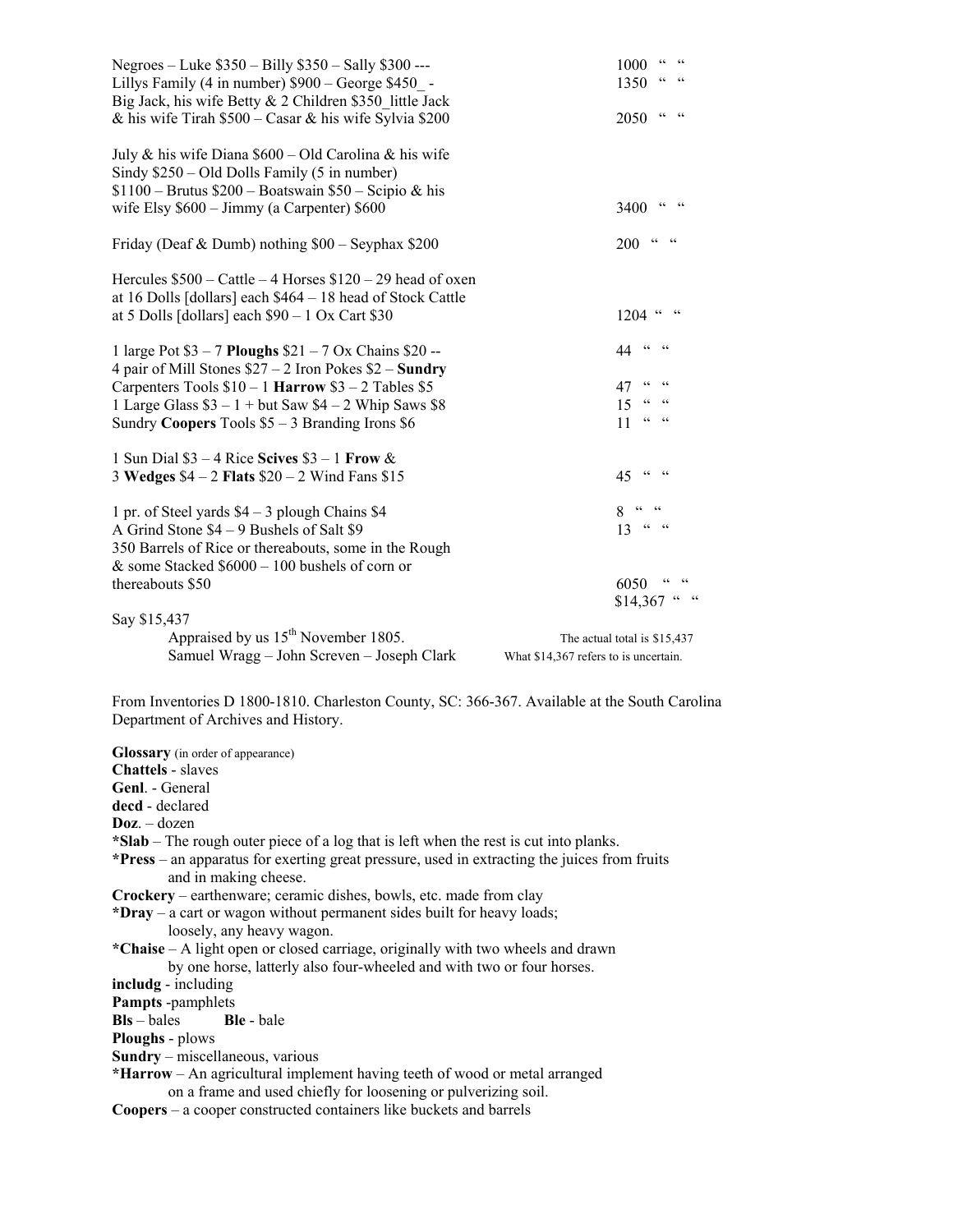| Negroes – Luke \$350 – Billy \$350 – Sally \$300 ---         | $\begin{array}{ccc} {\color{blue}\mathsf{CC}} & & {\color{blue}\mathsf{CC}} \end{array}$<br>1000 |
|--------------------------------------------------------------|--------------------------------------------------------------------------------------------------|
| Lillys Family (4 in number) \$900 - George \$450 -           | $CC$ $CC$<br>1350                                                                                |
| Big Jack, his wife Betty & 2 Children \$350 little Jack      |                                                                                                  |
| & his wife Tirah $$500 - Casar \&$ his wife Sylvia \$200     | $CC$ $CC$<br>2050                                                                                |
| July & his wife Diana $$600 - Old Carolina$ & his wife       |                                                                                                  |
| Sindy $$250 - Old$ Dolls Family (5 in number)                |                                                                                                  |
| $$1100 - Brutus $200 - Boatswain $50 - Scipio & his$         |                                                                                                  |
| wife Elsy \$600 - Jimmy (a Carpenter) \$600                  | $CC$ $CC$<br>3400                                                                                |
| Friday (Deaf & Dumb) nothing $$00 - Seyphax $200$            | $cc = cc$<br><b>200</b>                                                                          |
| Hercules $$500 - Cattle - 4$ Horses $$120 - 29$ head of oxen |                                                                                                  |
| at 16 Dolls [dollars] each \$464 - 18 head of Stock Cattle   |                                                                                                  |
| at 5 Dolls [dollars] each $$90 - 1$ Ox Cart \$30             | $1204$ " "                                                                                       |
| 1 large Pot $$3 - 7$ Ploughs $$21 - 7$ Ox Chains $$20 -$     | 44 $\frac{a}{a}$                                                                                 |
| 4 pair of Mill Stones $$27 - 2$ Iron Pokes $$2 -$ Sundry     |                                                                                                  |
| Carpenters Tools $$10 - 1$ Harrow $$3 - 2$ Tables \$5        | $CC = CC$<br>47                                                                                  |
| 1 Large Glass $$3 - 1 + but Saw $4 - 2 Whip Saws $8$         | $15$ " "                                                                                         |
| Sundry Coopers Tools $$5 - 3$ Branding Irons $$6$            | $CC = CC$<br>11                                                                                  |
| 1 Sun Dial $$3 - 4$ Rice Scives $$3 - 1$ Frow &              |                                                                                                  |
| 3 Wedges $$4 - 2$ Flats $$20 - 2$ Wind Fans \$15             | 45 " "                                                                                           |
| 1 pr. of Steel yards $$4 - 3$ plough Chains \$4              | $8 - 46 - 46$                                                                                    |
| A Grind Stone \$4 – 9 Bushels of Salt \$9                    | $13 \cdot 4 \cdot 4$                                                                             |
| 350 Barrels of Rice or thereabouts, some in the Rough        |                                                                                                  |
| & some Stacked $$6000 - 100$ bushels of corn or              |                                                                                                  |
| thereabouts \$50                                             | 6050 " "                                                                                         |
|                                                              | $$14,367$ " "                                                                                    |
| Say \$15,437                                                 |                                                                                                  |
| Appraised by us 15 <sup>th</sup> November 1805.              | The actual total is \$15,437                                                                     |
| Samuel Wragg - John Screven - Joseph Clark                   | What \$14,367 refers to is uncertain.                                                            |

From Inventories D 1800-1810. Charleston County, SC: 366-367. Available at the South Carolina Department of Archives and History.

**Glossary** (in order of appearance) **Chattels** - slaves **Genl**. General decd - declared **Doz**. – dozen **\*Slab** – The rough outer piece of a log that is left when the rest is cut into planks. **\*Press** – an apparatus for exerting great pressure, used in extracting the juices from fruits and in making cheese. **Crockery** – earthenware; ceramic dishes, bowls, etc. made from clay **\*Dray** – a cart or wagon without permanent sides built for heavy loads; loosely, any heavy wagon. **\*Chaise** – A light open or closed carriage, originally with two wheels and drawn by one horse, latterly also four-wheeled and with two or four horses. **includg** - including **Pampts** -pamphlets<br>**Bls** – bales<br>**Ble** - bale **Bls** – bales **Ploughs** - plows **Sundry** – miscellaneous, various **\*Harrow** – An agricultural implement having teeth of wood or metal arranged on a frame and used chiefly for loosening or pulverizing soil. **Coopers** – a cooper constructed containers like buckets and barrels